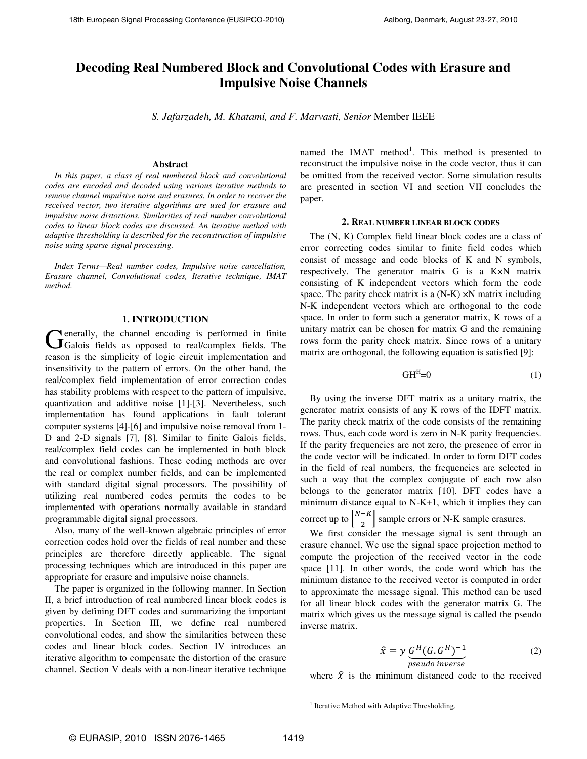# **Decoding Real Numbered Block and Convolutional Codes with Erasure and Impulsive Noise Channels**

*S. Jafarzadeh, M. Khatami, and F. Marvasti, Senior* Member IEEE

#### **Abstract**

*In this paper, a class of real numbered block and convolutional codes are encoded and decoded using various iterative methods to remove channel impulsive noise and erasures. In order to recover the received vector, two iterative algorithms are used for erasure and impulsive noise distortions. Similarities of real number convolutional codes to linear block codes are discussed. An iterative method with adaptive thresholding is described for the reconstruction of impulsive noise using sparse signal processing.* 

*Index Terms—Real number codes, Impulsive noise cancellation, Erasure channel, Convolutional codes, Iterative technique, IMAT method.*

# **1. INTRODUCTION**

enerally, the channel encoding is performed in finite Galois fields as opposed to real/complex fields. The Galois fields as opposed to real/complex fields. The reason is the simplicity of logic circuit implementation and insensitivity to the pattern of errors. On the other hand, the real/complex field implementation of error correction codes has stability problems with respect to the pattern of impulsive, quantization and additive noise [1]-[3]. Nevertheless, such implementation has found applications in fault tolerant computer systems [4]-[6] and impulsive noise removal from 1- D and 2-D signals [7], [8]. Similar to finite Galois fields, real/complex field codes can be implemented in both block and convolutional fashions. These coding methods are over the real or complex number fields, and can be implemented with standard digital signal processors. The possibility of utilizing real numbered codes permits the codes to be implemented with operations normally available in standard programmable digital signal processors.

Also, many of the well-known algebraic principles of error correction codes hold over the fields of real number and these principles are therefore directly applicable. The signal processing techniques which are introduced in this paper are appropriate for erasure and impulsive noise channels.

The paper is organized in the following manner. In Section II, a brief introduction of real numbered linear block codes is given by defining DFT codes and summarizing the important properties. In Section III, we define real numbered convolutional codes, and show the similarities between these codes and linear block codes. Section IV introduces an iterative algorithm to compensate the distortion of the erasure channel. Section V deals with a non-linear iterative technique

named the IMAT method<sup>1</sup>. This method is presented to reconstruct the impulsive noise in the code vector, thus it can be omitted from the received vector. Some simulation results are presented in section VI and section VII concludes the paper.

#### **2. REAL NUMBER LINEAR BLOCK CODES**

 The (N, K) Complex field linear block codes are a class of error correcting codes similar to finite field codes which consist of message and code blocks of K and N symbols, respectively. The generator matrix G is a K×N matrix consisting of K independent vectors which form the code space. The parity check matrix is a  $(N-K) \times N$  matrix including N-K independent vectors which are orthogonal to the code space. In order to form such a generator matrix, K rows of a unitary matrix can be chosen for matrix G and the remaining rows form the parity check matrix. Since rows of a unitary matrix are orthogonal, the following equation is satisfied [9]:

$$
GH^H=0
$$
 (1)

By using the inverse DFT matrix as a unitary matrix, the generator matrix consists of any K rows of the IDFT matrix. The parity check matrix of the code consists of the remaining rows. Thus, each code word is zero in N-K parity frequencies. If the parity frequencies are not zero, the presence of error in the code vector will be indicated. In order to form DFT codes in the field of real numbers, the frequencies are selected in such a way that the complex conjugate of each row also belongs to the generator matrix [10]. DFT codes have a minimum distance equal to N-K+1, which it implies they can correct up to  $\left\lfloor \frac{N-K}{2} \right\rfloor$  sample errors or N-K sample erasures.

We first consider the message signal is sent through an erasure channel. We use the signal space projection method to compute the projection of the received vector in the code space [11]. In other words, the code word which has the minimum distance to the received vector is computed in order to approximate the message signal. This method can be used for all linear block codes with the generator matrix G. The matrix which gives us the message signal is called the pseudo inverse matrix.

$$
\hat{x} = y \underbrace{G^H (G. G^H)^{-1}}_{pseudo\ inverse}
$$
 (2)

where  $\hat{x}$  is the minimum distanced code to the received

<sup>1</sup> Iterative Method with Adaptive Thresholding.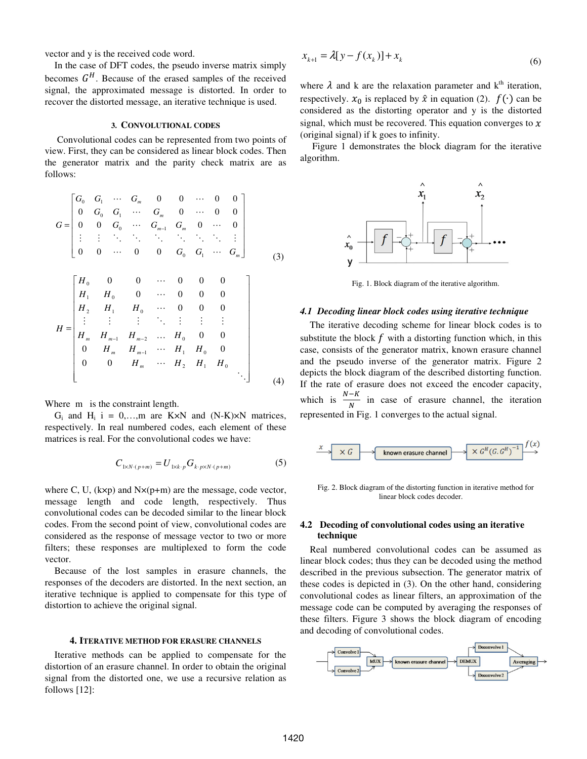vector and y is the received code word.

In the case of DFT codes, the pseudo inverse matrix simply becomes  $G<sup>H</sup>$ . Because of the erased samples of the received signal, the approximated message is distorted. In order to recover the distorted message, an iterative technique is used.

# **3. CONVOLUTIONAL CODES**

Convolutional codes can be represented from two points of view. First, they can be considered as linear block codes. Then the generator matrix and the parity check matrix are as follows:

$$
G = \begin{bmatrix} G_0 & G_1 & \cdots & G_m & 0 & 0 & \cdots & 0 & 0 \\ 0 & G_0 & G_1 & \cdots & G_m & 0 & \cdots & 0 & 0 \\ 0 & 0 & G_0 & \cdots & G_{m-1} & G_m & 0 & \cdots & 0 \\ \vdots & \vdots & \ddots & \ddots & \ddots & \ddots & \ddots & \ddots & \vdots \\ 0 & 0 & \cdots & 0 & 0 & G_0 & G_1 & \cdots & G_m \end{bmatrix}
$$
\n
$$
H = \begin{bmatrix} H_0 & 0 & 0 & \cdots & 0 & 0 & 0 \\ H_1 & H_0 & 0 & \cdots & 0 & 0 & 0 \\ H_2 & H_1 & H_0 & \cdots & 0 & 0 & 0 \\ \vdots & \vdots & \vdots & \ddots & \vdots & \vdots & \vdots \\ H_m & H_{m-1} & H_{m-2} & \cdots & H_0 & 0 & 0 \\ 0 & H_m & H_{m-1} & \cdots & H_1 & H_0 & 0 \\ 0 & 0 & H_m & \cdots & H_2 & H_1 & H_0 \end{bmatrix}
$$
\n
$$
(4)
$$

Where m is the constraint length.

 $G_i$  and  $H_i$  i = 0,...,m are K×N and (N-K)×N matrices, respectively. In real numbered codes, each element of these matrices is real. For the convolutional codes we have:

$$
C_{1 \times N \cdot (p+m)} = U_{1 \times k \cdot p} G_{k \cdot p \times N \cdot (p+m)} \tag{5}
$$

where C, U,  $(k \times p)$  and  $N \times (p+m)$  are the message, code vector, message length and code length, respectively. Thus convolutional codes can be decoded similar to the linear block codes. From the second point of view, convolutional codes are considered as the response of message vector to two or more filters; these responses are multiplexed to form the code vector.

Because of the lost samples in erasure channels, the responses of the decoders are distorted. In the next section, an iterative technique is applied to compensate for this type of distortion to achieve the original signal.

#### **4. ITERATIVE METHOD FOR ERASURE CHANNELS**

Iterative methods can be applied to compensate for the distortion of an erasure channel. In order to obtain the original signal from the distorted one, we use a recursive relation as follows [12]:

$$
x_{k+1} = \lambda [y - f(x_k)] + x_k
$$
 (6)

where  $\lambda$  and k are the relaxation parameter and  $k<sup>th</sup>$  iteration, respectively.  $x_0$  is replaced by  $\hat{x}$  in equation (2).  $f(\cdot)$  can be considered as the distorting operator and y is the distorted signal, which must be recovered. This equation converges to  $x$ (original signal) if k goes to infinity.

 Figure 1 demonstrates the block diagram for the iterative algorithm.



Fig. 1. Block diagram of the iterative algorithm.

#### *4.1 Decoding linear block codes using iterative technique*

The iterative decoding scheme for linear block codes is to substitute the block  $f$  with a distorting function which, in this case, consists of the generator matrix, known erasure channel and the pseudo inverse of the generator matrix. Figure 2 depicts the block diagram of the described distorting function. If the rate of erasure does not exceed the encoder capacity, which is  $\frac{N-K}{N}$  in case of erasure channel, the iteration represented in Fig. 1 converges to the actual signal.



Fig. 2. Block diagram of the distorting function in iterative method for linear block codes decoder.

# **4.2 Decoding of convolutional codes using an iterative technique**

Real numbered convolutional codes can be assumed as linear block codes; thus they can be decoded using the method described in the previous subsection. The generator matrix of these codes is depicted in (3). On the other hand, considering convolutional codes as linear filters, an approximation of the message code can be computed by averaging the responses of these filters. Figure 3 shows the block diagram of encoding and decoding of convolutional codes.

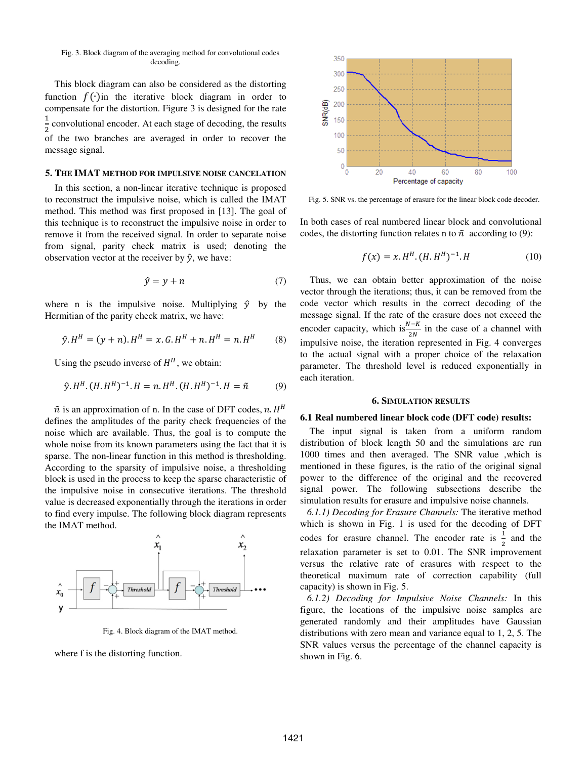#### Fig. 3. Block diagram of the averaging method for convolutional codes decoding.

This block diagram can also be considered as the distorting function  $f(\cdot)$ in the iterative block diagram in order to compensate for the distortion. Figure 3 is designed for the rate  $\mathbf 1$  $\frac{1}{2}$  convolutional encoder. At each stage of decoding, the results of the two branches are averaged in order to recover the message signal.

# **5. THE IMAT METHOD FOR IMPULSIVE NOISE CANCELATION**

 In this section, a non-linear iterative technique is proposed to reconstruct the impulsive noise, which is called the IMAT method. This method was first proposed in [13]. The goal of this technique is to reconstruct the impulsive noise in order to remove it from the received signal. In order to separate noise from signal, parity check matrix is used; denoting the observation vector at the receiver by  $\hat{y}$ , we have:

$$
\hat{y} = y + n \tag{7}
$$

where n is the impulsive noise. Multiplying  $\hat{y}$  by the Hermitian of the parity check matrix, we have:

$$
\hat{y}.H^H = (y+n).H^H = x. G.H^H + n.H^H = n.H^H \qquad (8)
$$

Using the pseudo inverse of  $H<sup>H</sup>$ , we obtain:

$$
\hat{y}.H^H.(H.H^H)^{-1}.H = n.H^H.(H.H^H)^{-1}.H = \tilde{n}
$$
 (9)

 $\tilde{n}$  is an approximation of n. In the case of DFT codes, n.  $H^H$ defines the amplitudes of the parity check frequencies of the noise which are available. Thus, the goal is to compute the whole noise from its known parameters using the fact that it is sparse. The non-linear function in this method is thresholding. According to the sparsity of impulsive noise, a thresholding block is used in the process to keep the sparse characteristic of the impulsive noise in consecutive iterations. The threshold value is decreased exponentially through the iterations in order to find every impulse. The following block diagram represents the IMAT method.



Fig. 4. Block diagram of the IMAT method.

where f is the distorting function.



Fig. 5. SNR vs. the percentage of erasure for the linear block code decoder.

In both cases of real numbered linear block and convolutional codes, the distorting function relates n to  $\tilde{n}$  according to (9):

$$
f(x) = x.H^H.(H.H^H)^{-1}.H
$$
 (10)

Thus, we can obtain better approximation of the noise vector through the iterations; thus, it can be removed from the code vector which results in the correct decoding of the message signal. If the rate of the erasure does not exceed the encoder capacity, which is  $\frac{N-K}{2N}$  in the case of a channel with impulsive noise, the iteration represented in Fig. 4 converges to the actual signal with a proper choice of the relaxation parameter. The threshold level is reduced exponentially in each iteration.

# **6. SIMULATION RESULTS**

### **6.1 Real numbered linear block code (DFT code) results:**

 The input signal is taken from a uniform random distribution of block length 50 and the simulations are run 1000 times and then averaged. The SNR value ,which is mentioned in these figures, is the ratio of the original signal power to the difference of the original and the recovered signal power. The following subsections describe the simulation results for erasure and impulsive noise channels.

*6.1.1) Decoding for Erasure Channels:* The iterative method which is shown in Fig. 1 is used for the decoding of DFT codes for erasure channel. The encoder rate is  $\frac{1}{2}$  and the relaxation parameter is set to 0.01. The SNR improvement versus the relative rate of erasures with respect to the theoretical maximum rate of correction capability (full capacity) is shown in Fig. 5.

*6.1.2) Decoding for Impulsive Noise Channels:* In this figure, the locations of the impulsive noise samples are generated randomly and their amplitudes have Gaussian distributions with zero mean and variance equal to 1, 2, 5. The SNR values versus the percentage of the channel capacity is shown in Fig. 6.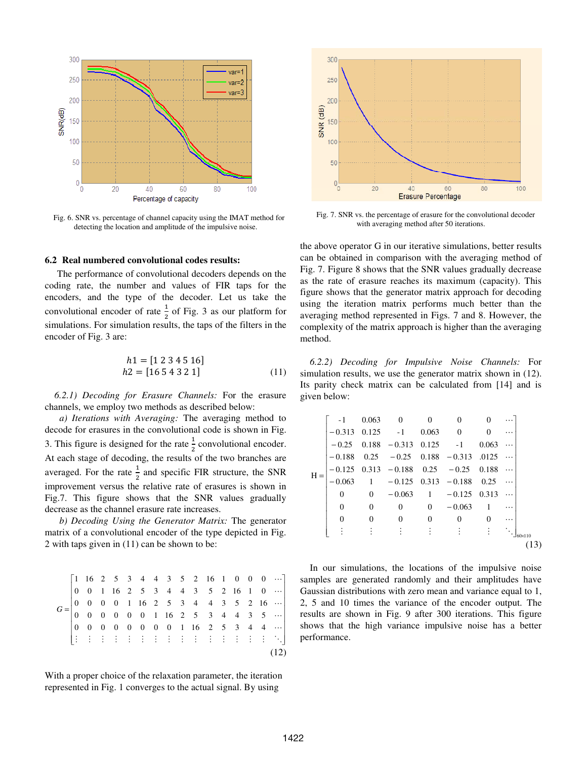

Fig. 6. SNR vs. percentage of channel capacity using the IMAT method for detecting the location and amplitude of the impulsive noise.

#### **6.2 Real numbered convolutional codes results:**

The performance of convolutional decoders depends on the coding rate, the number and values of FIR taps for the encoders, and the type of the decoder. Let us take the convolutional encoder of rate  $\frac{1}{2}$  of Fig. 3 as our platform for simulations. For simulation results, the taps of the filters in the encoder of Fig. 3 are:

$$
h1 = [1 2 3 4 5 16]
$$
  

$$
h2 = [16 5 4 3 2 1]
$$
 (11)

*6.2.1) Decoding for Erasure Channels:* For the erasure channels, we employ two methods as described below:

 *a) Iterations with Averaging:* The averaging method to decode for erasures in the convolutional code is shown in Fig. 3. This figure is designed for the rate  $\frac{1}{2}$  convolutional encoder. At each stage of decoding, the results of the two branches are averaged. For the rate  $\frac{1}{2}$  and specific FIR structure, the SNR improvement versus the relative rate of erasures is shown in Fig.7. This figure shows that the SNR values gradually decrease as the channel erasure rate increases.

 *b) Decoding Using the Generator Matrix:* The generator matrix of a convolutional encoder of the type depicted in Fig. 2 with taps given in (11) can be shown to be:

| $G = \begin{bmatrix} 1 & 16 & 2 & 5 & 3 & 4 & 4 & 3 & 5 & 2 & 16 & 1 & 0 & 0 & 0 & \cdots \\ 0 & 0 & 1 & 16 & 2 & 5 & 3 & 4 & 4 & 3 & 5 & 2 & 16 & 1 & 0 & \cdots \\ 0 & 0 & 0 & 0 & 1 & 16 & 2 & 5 & 3 & 4 & 4 & 3 & 5 & 2 & 16 & \cdots \\ 0 & 0 & 0 & 0 & 0 & 0 & 1 & 16 & 2 & 5 & 3 & 4 & 4 & 3 & 5 & \cdots \\ 0 & 0 & 0 &$ |  |  |  |  |  |  |  |      |
|----------------------------------------------------------------------------------------------------------------------------------------------------------------------------------------------------------------------------------------------------------------------------------------------------------------------------------|--|--|--|--|--|--|--|------|
|                                                                                                                                                                                                                                                                                                                                  |  |  |  |  |  |  |  |      |
|                                                                                                                                                                                                                                                                                                                                  |  |  |  |  |  |  |  |      |
|                                                                                                                                                                                                                                                                                                                                  |  |  |  |  |  |  |  |      |
|                                                                                                                                                                                                                                                                                                                                  |  |  |  |  |  |  |  |      |
|                                                                                                                                                                                                                                                                                                                                  |  |  |  |  |  |  |  |      |
|                                                                                                                                                                                                                                                                                                                                  |  |  |  |  |  |  |  | (12) |

With a proper choice of the relaxation parameter, the iteration represented in Fig. 1 converges to the actual signal. By using



Fig. 7. SNR vs. the percentage of erasure for the convolutional decoder with averaging method after 50 iterations.

the above operator G in our iterative simulations, better results can be obtained in comparison with the averaging method of Fig. 7. Figure 8 shows that the SNR values gradually decrease as the rate of erasure reaches its maximum (capacity). This figure shows that the generator matrix approach for decoding using the iteration matrix performs much better than the averaging method represented in Figs. 7 and 8. However, the complexity of the matrix approach is higher than the averaging method.

*6.2.2) Decoding for Impulsive Noise Channels:* For simulation results, we use the generator matrix shown in  $(12)$ . Its parity check matrix can be calculated from [14] and is given below:

|       | $-1$           | 0.063    |                             |          |                                      |                | .                  |
|-------|----------------|----------|-----------------------------|----------|--------------------------------------|----------------|--------------------|
| $H =$ | $-0.313$ 0.125 |          | $-1$                        | 0.063    | $\Omega$                             | $\Omega$       | $\cdots$           |
|       | $-0.25$        |          | $0.188 - 0.313$ $0.125 - 1$ |          |                                      | 0.063          | .                  |
|       | $-0.188$       |          |                             |          | $0.25 -0.25$ 0.188 $-0.313$          | .0125          | $\ddots$           |
|       |                |          |                             |          | $-0.125$ 0.313 $-0.188$ 0.25 $-0.25$ | $0.188 \cdots$ |                    |
|       | $-0.063$       |          |                             |          | $1 - 0.125$ 0.313 $-0.188$ 0.25      |                | .                  |
|       | 0              | $\Omega$ | $-0.063$                    |          | $1 - 0.125$ 0.313                    |                | .                  |
|       | 0              | $\Omega$ | $\overline{0}$              | $\Omega$ | $-0.063$                             | $\overline{1}$ | $\ddotsc$          |
|       | $\theta$       | $\theta$ | $\Omega$                    | 0        | $\Omega$                             | $\Omega$       | $\cdots$           |
|       |                |          | $\ddot{\cdot}$              |          |                                      |                | ۰<br>$60\times110$ |
|       |                |          |                             |          |                                      |                |                    |

In our simulations, the locations of the impulsive noise samples are generated randomly and their amplitudes have Gaussian distributions with zero mean and variance equal to 1, 2, 5 and 10 times the variance of the encoder output. The results are shown in Fig. 9 after 300 iterations. This figure shows that the high variance impulsive noise has a better performance.